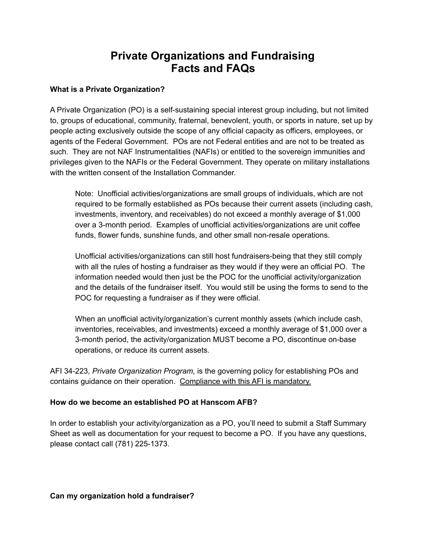# **Private Organizations and Fundraising Facts and FAQs**

## **What is a Private Organization?**

A Private Organization (PO) is a self-sustaining special interest group including, but not limited to, groups of educational, community, fraternal, benevolent, youth, or sports in nature, set up by people acting exclusively outside the scope of any official capacity as officers, employees, or agents of the Federal Government. POs are not Federal entities and are not to be treated as such. They are not NAF Instrumentalities (NAFIs) or entitled to the sovereign immunities and privileges given to the NAFIs or the Federal Government. They operate on military installations with the written consent of the Installation Commander.

Note: Unofficial activities/organizations are small groups of individuals, which are not required to be formally established as POs because their current assets (including cash, investments, inventory, and receivables) do not exceed a monthly average of \$1,000 over a 3-month period. Examples of unofficial activities/organizations are unit coffee funds, flower funds, sunshine funds, and other small non-resale operations.

Unofficial activities/organizations can still host fundraisers-being that they still comply with all the rules of hosting a fundraiser as they would if they were an official PO. The information needed would then just be the POC for the unofficial activity/organization and the details of the fundraiser itself. You would still be using the forms to send to the POC for requesting a fundraiser as if they were official.

When an unofficial activity/organization's current monthly assets (which include cash, inventories, receivables, and investments) exceed a monthly average of \$1,000 over a 3-month period, the activity/organization MUST become a PO, discontinue on-base operations, or reduce its current assets.

AFI 34-223, *Private Organization Program*, is the governing policy for establishing POs and contains guidance on their operation. Compliance with this AFI is mandatory.

### **How do we become an established PO at Hanscom AFB?**

In order to establish your activity/organization as a PO, you'll need to submit a Staff Summary Sheet as well as documentation for your request to become a PO. If you have any questions, please contact call (781) 225-1373.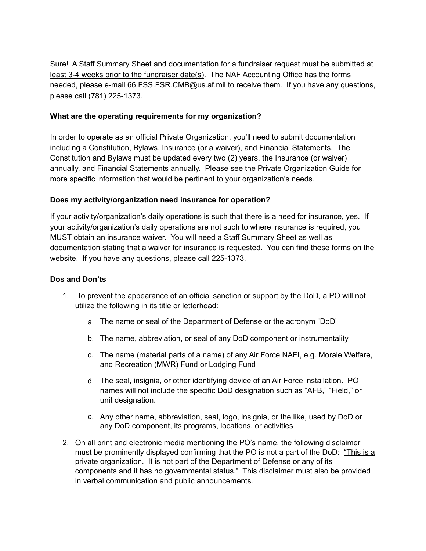Sure! A Staff Summary Sheet and documentation for a fundraiser request must be submitted at least 3-4 weeks prior to the fundraiser date(s). The NAF Accounting Office has the forms needed, please e-mail 66.FSS.FSR.CMB@us.af.mil to receive them. If you have any questions, please call (781) 225-1373.

#### **What are the operating requirements for my organization?**

In order to operate as an official Private Organization, you'll need to submit documentation including a Constitution, Bylaws, Insurance (or a waiver), and Financial Statements. The Constitution and Bylaws must be updated every two (2) years, the Insurance (or waiver) annually, and Financial Statements annually. Please see the Private Organization Guide for more specific information that would be pertinent to your organization's needs.

#### **Does my activity/organization need insurance for operation?**

If your activity/organization's daily operations is such that there is a need for insurance, yes. If your activity/organization's daily operations are not such to where insurance is required, you MUST obtain an insurance waiver. You will need a Staff Summary Sheet as well as documentation stating that a waiver for insurance is requested. You can find these forms on the website. If you have any questions, please call 225-1373.

#### **Dos and Don'ts**

- 1. To prevent the appearance of an official sanction or support by the DoD, a PO will not utilize the following in its title or letterhead:
	- a. The name or seal of the Department of Defense or the acronym "DoD"
	- b. The name, abbreviation, or seal of any DoD component or instrumentality
	- c. The name (material parts of a name) of any Air Force NAFI, e.g. Morale Welfare, and Recreation (MWR) Fund or Lodging Fund
	- d. The seal, insignia, or other identifying device of an Air Force installation. PO names will not include the specific DoD designation such as "AFB," "Field," or unit designation.
	- e. Any other name, abbreviation, seal, logo, insignia, or the like, used by DoD or any DoD component, its programs, locations, or activities
- 2. On all print and electronic media mentioning the PO's name, the following disclaimer must be prominently displayed confirming that the PO is not a part of the DoD: "This is a private organization. It is not part of the Department of Defense or any of its components and it has no governmental status." This disclaimer must also be provided in verbal communication and public announcements.